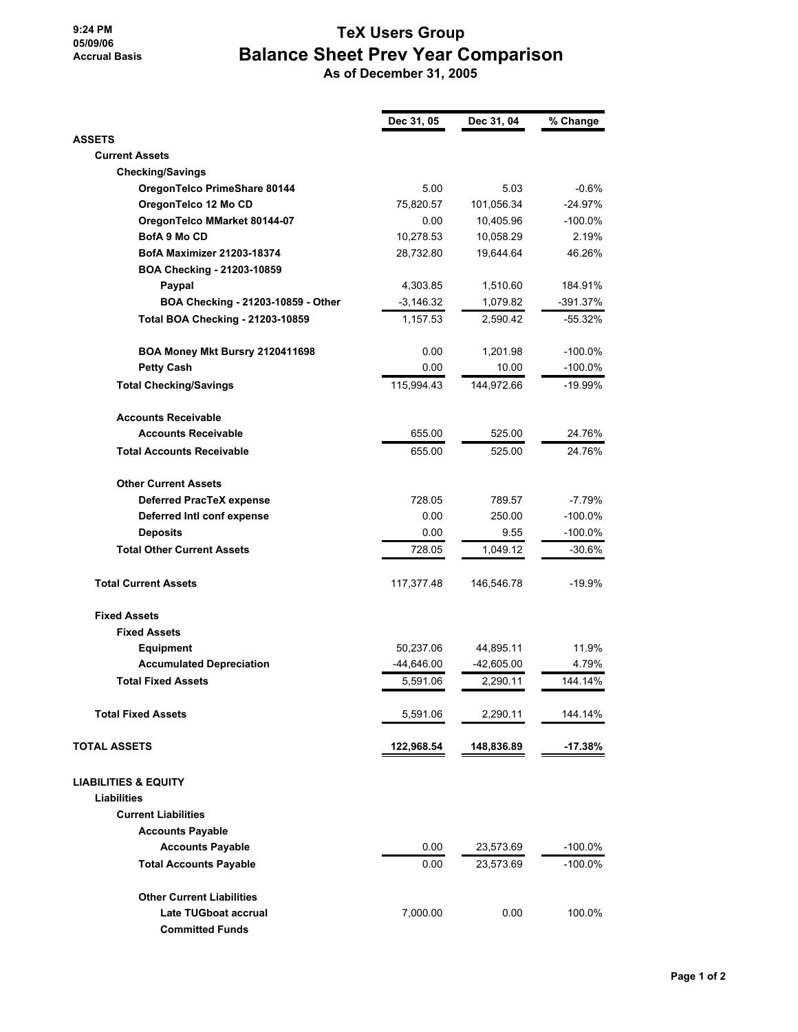## **9:24 PM 05/09/06 Accrual Basis**

## **TeX Users Group Balance Sheet Prev Year Comparison**

 **As of December 31, 2005**

|                                         | Dec 31, 05   | Dec 31, 04   | % Change   |
|-----------------------------------------|--------------|--------------|------------|
| <b>ASSETS</b>                           |              |              |            |
| <b>Current Assets</b>                   |              |              |            |
| <b>Checking/Savings</b>                 |              |              |            |
| OregonTelco PrimeShare 80144            | 5.00         | 5.03         | $-0.6%$    |
| OregonTelco 12 Mo CD                    | 75,820.57    | 101,056.34   | $-24.97%$  |
| OregonTelco MMarket 80144-07            | 0.00         | 10,405.96    | $-100.0\%$ |
| <b>BofA 9 Mo CD</b>                     | 10,278.53    | 10,058.29    | 2.19%      |
| <b>BofA Maximizer 21203-18374</b>       | 28,732.80    | 19,644.64    | 46.26%     |
| BOA Checking - 21203-10859              |              |              |            |
| Paypal                                  | 4,303.85     | 1,510.60     | 184.91%    |
| BOA Checking - 21203-10859 - Other      | $-3,146.32$  | 1,079.82     | $-391.37%$ |
| <b>Total BOA Checking - 21203-10859</b> | 1,157.53     | 2,590.42     | $-55.32%$  |
| BOA Money Mkt Bursry 2120411698         | 0.00         | 1,201.98     | -100.0%    |
| <b>Petty Cash</b>                       | 0.00         | 10.00        | $-100.0%$  |
| <b>Total Checking/Savings</b>           | 115,994.43   | 144,972.66   | -19.99%    |
| <b>Accounts Receivable</b>              |              |              |            |
| <b>Accounts Receivable</b>              | 655.00       | 525.00       | 24.76%     |
| <b>Total Accounts Receivable</b>        | 655.00       | 525.00       | 24.76%     |
| <b>Other Current Assets</b>             |              |              |            |
| <b>Deferred PracTeX expense</b>         | 728.05       | 789.57       | -7.79%     |
| Deferred Intl conf expense              | 0.00         | 250.00       | -100.0%    |
| <b>Deposits</b>                         | 0.00         | 9.55         | $-100.0\%$ |
| <b>Total Other Current Assets</b>       | 728.05       | 1,049.12     | $-30.6%$   |
| <b>Total Current Assets</b>             | 117,377.48   | 146,546.78   | $-19.9%$   |
| <b>Fixed Assets</b>                     |              |              |            |
| <b>Fixed Assets</b>                     |              |              |            |
| <b>Equipment</b>                        | 50,237.06    | 44,895.11    | 11.9%      |
| <b>Accumulated Depreciation</b>         | $-44,646.00$ | $-42,605.00$ | 4.79%      |
| <b>Total Fixed Assets</b>               | 5,591.06     | 2,290.11     | 144.14%    |
| <b>Total Fixed Assets</b>               | 5,591.06     | 2,290.11     | 144.14%    |
| <b>TOTAL ASSETS</b>                     | 122,968.54   | 148,836.89   | -17.38%    |
| <b>LIABILITIES &amp; EQUITY</b>         |              |              |            |
| <b>Liabilities</b>                      |              |              |            |
| <b>Current Liabilities</b>              |              |              |            |
| <b>Accounts Payable</b>                 |              |              |            |
| <b>Accounts Payable</b>                 | 0.00         | 23,573.69    | $-100.0\%$ |
| <b>Total Accounts Payable</b>           | 0.00         | 23,573.69    | -100.0%    |
| <b>Other Current Liabilities</b>        |              |              |            |
| Late TUGboat accrual                    | 7,000.00     | 0.00         | 100.0%     |
| <b>Committed Funds</b>                  |              |              |            |